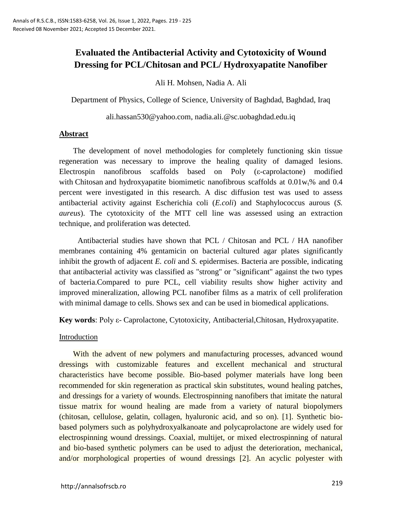# **Evaluated the Antibacterial Activity and Cytotoxicity of Wound Dressing for PCL/Chitosan and PCL/ Hydroxyapatite Nanofiber**

Ali H. Mohsen, Nadia A. Ali

Department of Physics, College of Science, University of Baghdad, Baghdad, Iraq

[ali.hassan530@yahoo.com,](mailto:ali.hassan530@yahoo.com) [nadia.ali.@sc.uobaghdad.edu.iq](mailto:nadia.ali.@sc.uobaghdad.edu.iq)

#### **Abstract**

The development of novel methodologies for completely functioning skin tissue regeneration was necessary to improve the healing quality of damaged lesions. Electrospin nanofibrous scaffolds based on Poly (ε-caprolactone) modified with Chitosan and hydroxyapatite biomimetic nanofibrous scaffolds at  $0.01w_t$ % and 0.4 percent were investigated in this research. A disc diffusion test was used to assess antibacterial activity against Escherichia coli (*E.coli*) and Staphylococcus aurous (*S. aureus*). The cytotoxicity of the MTT cell line was assessed using an extraction technique, and proliferation was detected.

Antibacterial studies have shown that PCL / Chitosan and PCL / HA nanofiber membranes containing 4% gentamicin on bacterial cultured agar plates significantly inhibit the growth of adjacent *E. coli* and *S.* epidermises. Bacteria are possible, indicating that antibacterial activity was classified as "strong" or "significant" against the two types of bacteria.Compared to pure PCL, cell viability results show higher activity and improved mineralization, allowing PCL nanofiber films as a matrix of cell proliferation with minimal damage to cells. Shows sex and can be used in biomedical applications.

**Key words**: Poly ε- Caprolactone, Cytotoxicity, Antibacterial,Chitosan, Hydroxyapatite.

#### **Introduction**

With the advent of new polymers and manufacturing processes, advanced wound dressings with customizable features and excellent mechanical and structural characteristics have become possible. Bio-based polymer materials have long been recommended for skin regeneration as practical skin substitutes, wound healing patches, and dressings for a variety of wounds. Electrospinning nanofibers that imitate the natural tissue matrix for wound healing are made from a variety of natural biopolymers (chitosan, cellulose, gelatin, collagen, hyaluronic acid, and so on). [1]. Synthetic biobased polymers such as polyhydroxyalkanoate and polycaprolactone are widely used for electrospinning wound dressings. Coaxial, multijet, or mixed electrospinning of natural and bio-based synthetic polymers can be used to adjust the deterioration, mechanical, and/or morphological properties of wound dressings [2]. An acyclic polyester with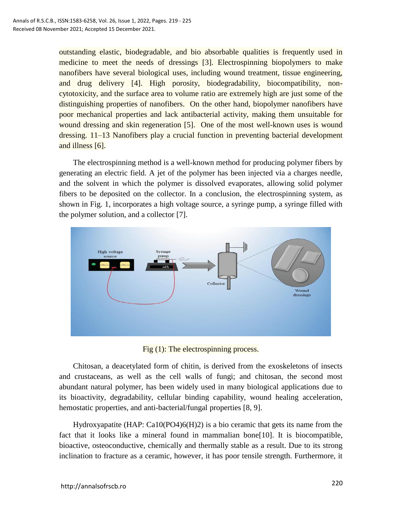outstanding elastic, biodegradable, and bio absorbable qualities is frequently used in medicine to meet the needs of dressings [3]. Electrospinning biopolymers to make nanofibers have several biological uses, including wound treatment, tissue engineering, and drug delivery [4]. High porosity, biodegradability, biocompatibility, noncytotoxicity, and the surface area to volume ratio are extremely high are just some of the distinguishing properties of nanofibers. On the other hand, biopolymer nanofibers have poor mechanical properties and lack antibacterial activity, making them unsuitable for wound dressing and skin regeneration [5]. One of the most well-known uses is wound dressing. 11–13 Nanofibers play a crucial function in preventing bacterial development and illness [6].

The electrospinning method is a well-known method for producing polymer fibers by generating an electric field. A jet of the polymer has been injected via a charges needle, and the solvent in which the polymer is dissolved evaporates, allowing solid polymer fibers to be deposited on the collector. In a conclusion, the electrospinning system, as shown in Fig. 1, incorporates a high voltage source, a syringe pump, a syringe filled with the polymer solution, and a collector [7].



Fig (1): The electrospinning process.

Chitosan, a deacetylated form of chitin, is derived from the exoskeletons of insects and crustaceans, as well as the cell walls of fungi; and chitosan, the second most abundant natural polymer, has been widely used in many biological applications due to its bioactivity, degradability, cellular binding capability, wound healing acceleration, hemostatic properties, and anti-bacterial/fungal properties [8, 9].

Hydroxyapatite (HAP: Ca10(PO4)6(H)2) is a bio ceramic that gets its name from the fact that it looks like a mineral found in mammalian bone[10]. It is biocompatible, bioactive, osteoconductive, chemically and thermally stable as a result. Due to its strong inclination to fracture as a ceramic, however, it has poor tensile strength. Furthermore, it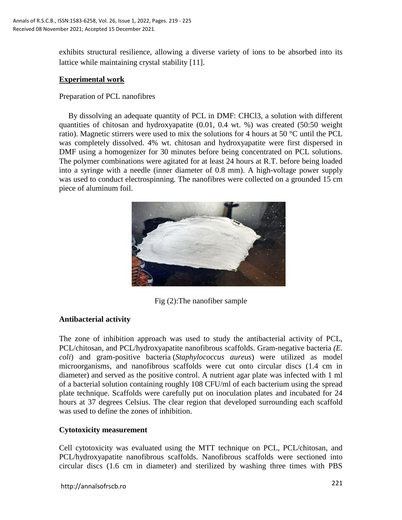exhibits structural resilience, allowing a diverse variety of ions to be absorbed into its lattice while maintaining crystal stability [11].

#### **Experimental work**

#### Preparation of PCL nanofibres

By dissolving an adequate quantity of PCL in DMF: CHCl3, a solution with different quantities of chitosan and hydroxyapatite (0.01, 0.4 wt. %) was created (50:50 weight ratio). Magnetic stirrers were used to mix the solutions for 4 hours at 50 °C until the PCL was completely dissolved. 4% wt. chitosan and hydroxyapatite were first dispersed in DMF using a homogenizer for 30 minutes before being concentrated on PCL solutions. The polymer combinations were agitated for at least 24 hours at R.T. before being loaded into a syringe with a needle (inner diameter of 0.8 mm). A high-voltage power supply was used to conduct electrospinning. The nanofibres were collected on a grounded 15 cm piece of aluminum foil.



Fig (2):The nanofiber sample

# **Antibacterial activity**

The zone of inhibition approach was used to study the antibacterial activity of PCL, PCL/chitosan, and PCL/hydroxyapatite nanofibrous scaffolds. Gram-negative bacteria *(E. coli*) and gram-positive bacteria (*Staphylococcus aureus*) were utilized as model microorganisms, and nanofibrous scaffolds were cut onto circular discs (1.4 cm in diameter) and served as the positive control. A nutrient agar plate was infected with 1 ml of a bacterial solution containing roughly 108 CFU/ml of each bacterium using the spread plate technique. Scaffolds were carefully put on inoculation plates and incubated for 24 hours at 37 degrees Celsius. The clear region that developed surrounding each scaffold was used to define the zones of inhibition.

# **Cytotoxicity measurement**

Cell cytotoxicity was evaluated using the MTT technique on PCL, PCL/chitosan, and PCL/hydroxyapatite nanofibrous scaffolds. Nanofibrous scaffolds were sectioned into circular discs (1.6 cm in diameter) and sterilized by washing three times with PBS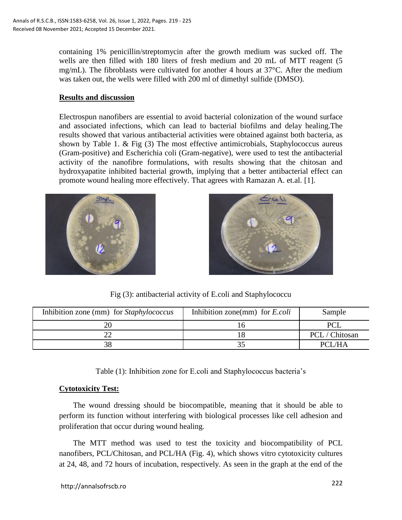containing 1% penicillin/streptomycin after the growth medium was sucked off. The wells are then filled with 180 liters of fresh medium and 20 mL of MTT reagent (5 mg/mL). The fibroblasts were cultivated for another 4 hours at  $37^{\circ}$ C. After the medium was taken out, the wells were filled with 200 ml of dimethyl sulfide (DMSO).

#### **Results and discussion**

Electrospun nanofibers are essential to avoid bacterial colonization of the wound surface and associated infections, which can lead to bacterial biofilms and delay healing.The results showed that various antibacterial activities were obtained against both bacteria, as shown by Table 1. & Fig (3) The most effective antimicrobials, Staphylococcus aureus (Gram-positive) and Escherichia coli (Gram-negative), were used to test the antibacterial activity of the nanofibre formulations, with results showing that the chitosan and hydroxyapatite inhibited bacterial growth, implying that a better antibacterial effect can promote wound healing more effectively. That agrees with Ramazan A. et.al. [1].





Fig (3): antibacterial activity of E.coli and Staphylococcu

| Inhibition zone (mm) for Staphylococcus | Inhibition zone(mm) for $E.$ <i>coli</i> | Sample         |
|-----------------------------------------|------------------------------------------|----------------|
|                                         |                                          |                |
|                                         |                                          | PCL / Chitosan |
|                                         |                                          | PCI /HA        |

Table (1): Inhibition zone for E.coli and Staphylococcus bacteria's

# **Cytotoxicity Test:**

The wound dressing should be biocompatible, meaning that it should be able to perform its function without interfering with biological processes like cell adhesion and proliferation that occur during wound healing.

The MTT method was used to test the toxicity and biocompatibility of PCL nanofibers, PCL/Chitosan, and PCL/HA (Fig. 4), which shows vitro cytotoxicity cultures at 24, 48, and 72 hours of incubation, respectively. As seen in the graph at the end of the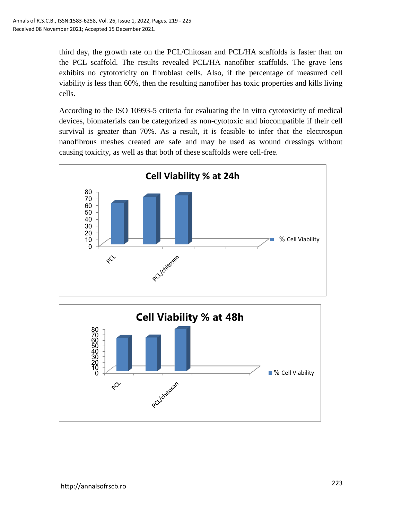third day, the growth rate on the PCL/Chitosan and PCL/HA scaffolds is faster than on the PCL scaffold. The results revealed PCL/HA nanofiber scaffolds. The grave lens exhibits no cytotoxicity on fibroblast cells. Also, if the percentage of measured cell viability is less than 60%, then the resulting nanofiber has toxic properties and kills living cells.

According to the ISO 10993-5 criteria for evaluating the in vitro cytotoxicity of medical devices, biomaterials can be categorized as non-cytotoxic and biocompatible if their cell survival is greater than 70%. As a result, it is feasible to infer that the electrospun nanofibrous meshes created are safe and may be used as wound dressings without causing toxicity, as well as that both of these scaffolds were cell-free.



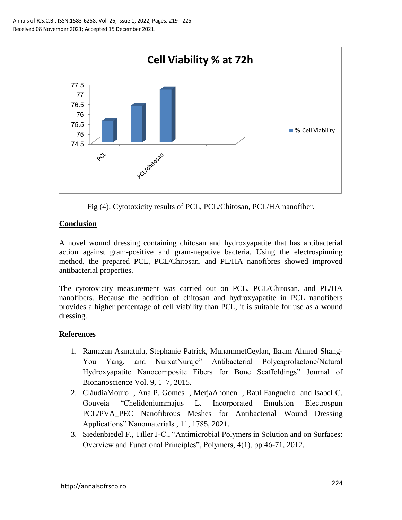

Fig (4): Cytotoxicity results of PCL, PCL/Chitosan, PCL/HA nanofiber.

# **Conclusion**

A novel wound dressing containing chitosan and hydroxyapatite that has antibacterial action against gram-positive and gram-negative bacteria. Using the electrospinning method, the prepared PCL, PCL/Chitosan, and PL/HA nanofibres showed improved antibacterial properties.

The cytotoxicity measurement was carried out on PCL, PCL/Chitosan, and PL/HA nanofibers. Because the addition of chitosan and hydroxyapatite in PCL nanofibers provides a higher percentage of cell viability than PCL, it is suitable for use as a wound dressing.

# **References**

- 1. Ramazan Asmatulu, Stephanie Patrick, MuhammetCeylan, Ikram Ahmed Shang-You Yang, and NurxatNuraje" Antibacterial Polycaprolactone/Natural Hydroxyapatite Nanocomposite Fibers for Bone Scaffoldings" Journal of Bionanoscience Vol. 9, 1–7, 2015.
- 2. CláudiaMouro , Ana P. Gomes , MerjaAhonen , Raul Fangueiro and Isabel C. Gouveia "Chelidoniummajus L. Incorporated Emulsion Electrospun PCL/PVA PEC Nanofibrous Meshes for Antibacterial Wound Dressing Applications" Nanomaterials , 11, 1785, 2021.
- 3. Siedenbiedel F., Tiller J-C., "Antimicrobial Polymers in Solution and on Surfaces: Overview and Functional Principles", Polymers, 4(1), pp:46-71, 2012.